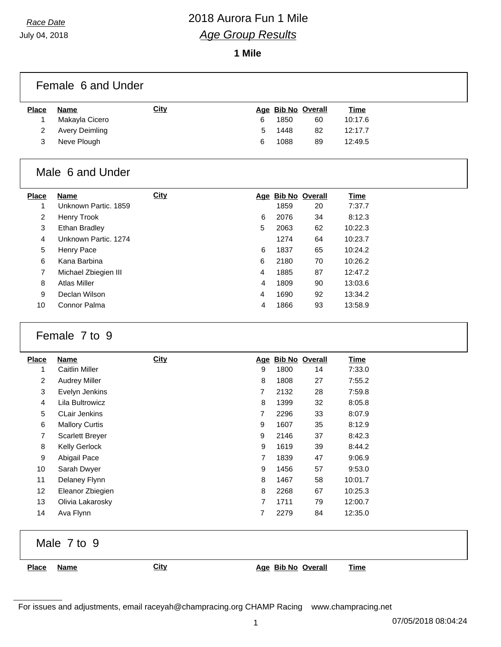July 04, 2018

## *Race Date* 2018 Aurora Fun 1 Mile *Age Group Results*

**1 Mile**

|       | Female 6 and Under |             |                    |             |
|-------|--------------------|-------------|--------------------|-------------|
| Place | Name               | <u>City</u> | Age Bib No Overall | <u>Time</u> |

| Makayla Cicero   | 6 | 1850 | 60 | 10:17.6 |
|------------------|---|------|----|---------|
| 2 Avery Deimling | 5 | 1448 | 82 | 12:17.7 |
| 3 Neve Plough    | 6 | 1088 | 89 | 12:49.5 |
|                  |   |      |    |         |

#### Male 6 and Under

| <b>Place</b> | Name                 | <b>City</b> | Age | <b>Bib No Overall</b> |    | Time    |
|--------------|----------------------|-------------|-----|-----------------------|----|---------|
| 1            | Unknown Partic, 1859 |             |     | 1859                  | 20 | 7:37.7  |
| 2            | Henry Trook          |             | 6   | 2076                  | 34 | 8:12.3  |
| 3            | <b>Ethan Bradley</b> |             | 5   | 2063                  | 62 | 10:22.3 |
| 4            | Unknown Partic, 1274 |             |     | 1274                  | 64 | 10:23.7 |
| 5            | Henry Pace           |             | 6   | 1837                  | 65 | 10:24.2 |
| 6            | Kana Barbina         |             | 6   | 2180                  | 70 | 10:26.2 |
| 7            | Michael Zbiegien III |             | 4   | 1885                  | 87 | 12:47.2 |
| 8            | <b>Atlas Miller</b>  |             | 4   | 1809                  | 90 | 13:03.6 |
| 9            | Declan Wilson        |             | 4   | 1690                  | 92 | 13:34.2 |
| 10           | Connor Palma         |             | 4   | 1866                  | 93 | 13:58.9 |

### Female 7 to 9

| <b>Place</b>    | <b>Name</b>            | <b>City</b> |                | Age Bib No Overall |    | <b>Time</b> |
|-----------------|------------------------|-------------|----------------|--------------------|----|-------------|
| 1               | Caitlin Miller         |             | 9              | 1800               | 14 | 7:33.0      |
| $\overline{2}$  | <b>Audrey Miller</b>   |             | 8              | 1808               | 27 | 7:55.2      |
| 3               | Evelyn Jenkins         |             | 7              | 2132               | 28 | 7:59.8      |
| 4               | Lila Bultrowicz        |             | 8              | 1399               | 32 | 8:05.8      |
| 5               | <b>CLair Jenkins</b>   |             | $\overline{7}$ | 2296               | 33 | 8:07.9      |
| 6               | <b>Mallory Curtis</b>  |             | 9              | 1607               | 35 | 8:12.9      |
| 7               | <b>Scarlett Breyer</b> |             | 9              | 2146               | 37 | 8:42.3      |
| 8               | <b>Kelly Gerlock</b>   |             | 9              | 1619               | 39 | 8:44.2      |
| 9               | Abigail Pace           |             | $\overline{7}$ | 1839               | 47 | 9:06.9      |
| 10              | Sarah Dwyer            |             | 9              | 1456               | 57 | 9:53.0      |
| 11              | Delaney Flynn          |             | 8              | 1467               | 58 | 10:01.7     |
| 12 <sup>2</sup> | Eleanor Zbiegien       |             | 8              | 2268               | 67 | 10:25.3     |
| 13              | Olivia Lakarosky       |             | 7              | 1711               | 79 | 12:00.7     |
| 14              | Ava Flynn              |             | 7              | 2279               | 84 | 12:35.0     |

Male 7 to 9

**Place Name City Age Bib No Overall Time**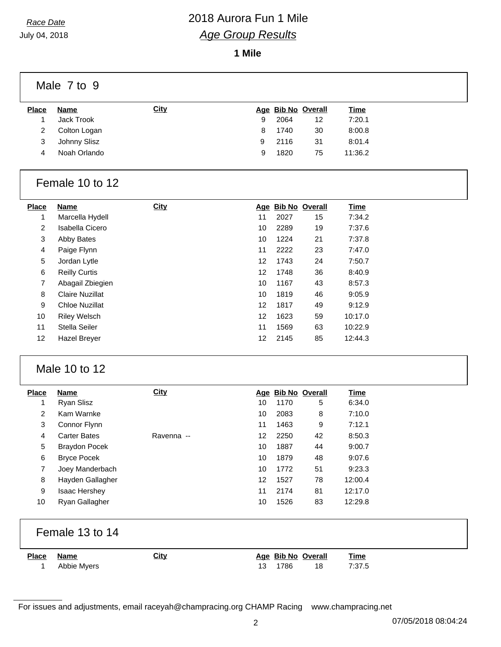July 04, 2018

# *Race Date* 2018 Aurora Fun 1 Mile *Age Group Results*

**1 Mile**

|              | Male 7 to 9  |             |   |      |                    |             |
|--------------|--------------|-------------|---|------|--------------------|-------------|
| <b>Place</b> | Name         | <b>City</b> |   |      | Age Bib No Overall | <b>Time</b> |
|              | Jack Trook   |             | 9 | 2064 | 12                 | 7:20.1      |
| 2            | Colton Logan |             | 8 | 1740 | 30                 | 8:00.8      |
| 3            | Johnny Slisz |             | 9 | 2116 | 31                 | 8:01.4      |
| 4            | Noah Orlando |             | 9 | 1820 | 75                 | 11:36.2     |
|              |              |             |   |      |                    |             |

#### Female 10 to 12

| Name                  | <b>City</b> |    |      |    | <b>Time</b>        |
|-----------------------|-------------|----|------|----|--------------------|
| Marcella Hydell       |             | 11 | 2027 | 15 | 7:34.2             |
| Isabella Cicero       |             | 10 | 2289 | 19 | 7:37.6             |
| Abby Bates            |             | 10 | 1224 | 21 | 7:37.8             |
| Paige Flynn           |             | 11 | 2222 | 23 | 7:47.0             |
| Jordan Lytle          |             | 12 | 1743 | 24 | 7:50.7             |
| <b>Reilly Curtis</b>  |             | 12 | 1748 | 36 | 8:40.9             |
| Abagail Zbiegien      |             | 10 | 1167 | 43 | 8:57.3             |
| Claire Nuzillat       |             | 10 | 1819 | 46 | 9:05.9             |
| <b>Chloe Nuzillat</b> |             | 12 | 1817 | 49 | 9:12.9             |
| <b>Riley Welsch</b>   |             | 12 | 1623 | 59 | 10:17.0            |
| Stella Seiler         |             | 11 | 1569 | 63 | 10:22.9            |
| Hazel Brever          |             | 12 | 2145 | 85 | 12:44.3            |
|                       |             |    |      |    | Age Bib No Overall |

#### Male 10 to 12

| <b>Place</b>   | Name                 | <b>City</b> |    |      | Age Bib No Overall | <b>Time</b> |
|----------------|----------------------|-------------|----|------|--------------------|-------------|
| 1              | Ryan Slisz           |             | 10 | 1170 | 5                  | 6:34.0      |
| $\overline{2}$ | Kam Warnke           |             | 10 | 2083 | 8                  | 7:10.0      |
| 3              | Connor Flynn         |             | 11 | 1463 | 9                  | 7:12.1      |
| 4              | <b>Carter Bates</b>  | Ravenna --  | 12 | 2250 | 42                 | 8:50.3      |
| 5              | <b>Braydon Pocek</b> |             | 10 | 1887 | 44                 | 9:00.7      |
| 6              | <b>Bryce Pocek</b>   |             | 10 | 1879 | 48                 | 9:07.6      |
| 7              | Joey Manderbach      |             | 10 | 1772 | 51                 | 9:23.3      |
| 8              | Hayden Gallagher     |             | 12 | 1527 | 78                 | 12:00.4     |
| 9              | <b>Isaac Hershey</b> |             | 11 | 2174 | 81                 | 12:17.0     |
| 10             | Ryan Gallagher       |             | 10 | 1526 | 83                 | 12:29.8     |

| Female 13 to 14 |
|-----------------|
|-----------------|

| <b>Place</b> | Name        | <b>City</b> | Age Bib No Overall |    | <b>Time</b> |
|--------------|-------------|-------------|--------------------|----|-------------|
|              | Abbie Myers |             | 1786               | 18 | 7:37.5      |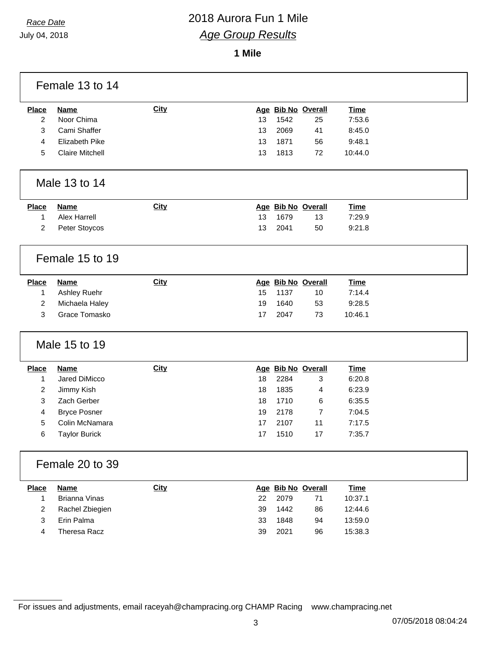July 04, 2018

### *Race Date* 2018 Aurora Fun 1 Mile *Age Group Results*

**1 Mile**

|                | Female 13 to 14        |             |    |      |                    |             |
|----------------|------------------------|-------------|----|------|--------------------|-------------|
| <b>Place</b>   | <b>Name</b>            | <b>City</b> |    |      | Age Bib No Overall | <b>Time</b> |
| $\overline{2}$ | Noor Chima             |             | 13 | 1542 | 25                 | 7:53.6      |
| 3              | Cami Shaffer           |             | 13 | 2069 | 41                 | 8:45.0      |
| 4              | Elizabeth Pike         |             | 13 | 1871 | 56                 | 9:48.1      |
| 5              | <b>Claire Mitchell</b> |             | 13 | 1813 | 72                 | 10:44.0     |
|                | Male 13 to 14          |             |    |      |                    |             |
| <b>Place</b>   | <b>Name</b>            | City        |    |      | Age Bib No Overall | <b>Time</b> |
| 1              | <b>Alex Harrell</b>    |             | 13 | 1679 | 13                 | 7:29.9      |
| $\overline{2}$ | Peter Stoycos          |             | 13 | 2041 | 50                 | 9:21.8      |
|                | Female 15 to 19        |             |    |      |                    |             |
| <b>Place</b>   | <b>Name</b>            | City        |    |      | Age Bib No Overall | <b>Time</b> |
| 1              | Ashley Ruehr           |             | 15 | 1137 | 10                 | 7:14.4      |
| 2              | Michaela Haley         |             | 19 | 1640 | 53                 | 9:28.5      |
| 3              | Grace Tomasko          |             | 17 | 2047 | 73                 | 10:46.1     |
|                |                        |             |    |      |                    |             |
|                | Male 15 to 19          |             |    |      |                    |             |
| <b>Place</b>   | <b>Name</b>            | City        |    |      | Age Bib No Overall | <b>Time</b> |
| $\mathbf{1}$   | Jared DiMicco          |             | 18 | 2284 | 3                  | 6:20.8      |
| 2              | Jimmy Kish             |             | 18 | 1835 | 4                  | 6:23.9      |
| 3              | Zach Gerber            |             | 18 | 1710 | 6                  | 6:35.5      |
| 4              | <b>Bryce Posner</b>    |             | 19 | 2178 | 7                  | 7:04.5      |
| 5              | Colin McNamara         |             | 17 | 2107 | 11                 | 7:17.5      |
| 6              | <b>Taylor Burick</b>   |             | 17 | 1510 | 17                 | 7:35.7      |
|                | Female 20 to 39        |             |    |      |                    |             |
| <b>Place</b>   | <b>Name</b>            | City        |    |      | Age Bib No Overall | <b>Time</b> |
| 1              | <b>Brianna Vinas</b>   |             | 22 | 2079 | 71                 | 10:37.1     |
| $\overline{2}$ | Rachel Zbiegien        |             | 39 | 1442 | 86                 | 12:44.6     |
| 3              | Erin Palma             |             | 33 | 1848 | 94                 | 13:59.0     |